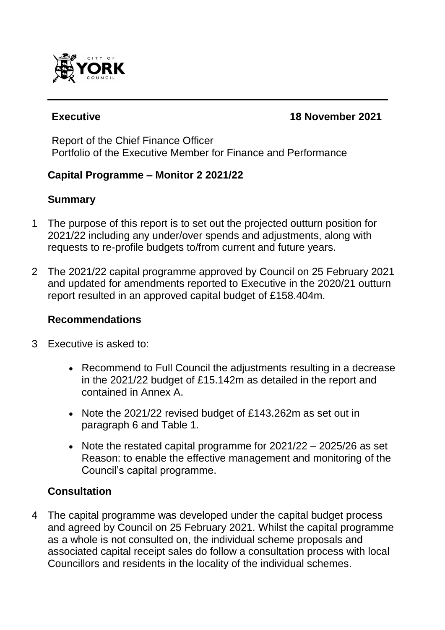

#### **Executive 18 November 2021**

Report of the Chief Finance Officer Portfolio of the Executive Member for Finance and Performance

## **Capital Programme – Monitor 2 2021/22**

## **Summary**

- 1 The purpose of this report is to set out the projected outturn position for 2021/22 including any under/over spends and adjustments, along with requests to re-profile budgets to/from current and future years.
- 2 The 2021/22 capital programme approved by Council on 25 February 2021 and updated for amendments reported to Executive in the 2020/21 outturn report resulted in an approved capital budget of £158.404m.

## **Recommendations**

- 3 Executive is asked to:
	- Recommend to Full Council the adjustments resulting in a decrease in the 2021/22 budget of £15.142m as detailed in the report and contained in Annex A.
	- Note the 2021/22 revised budget of £143.262m as set out in paragraph 6 and Table 1.
	- Note the restated capital programme for 2021/22 2025/26 as set Reason: to enable the effective management and monitoring of the Council's capital programme.

## **Consultation**

4 The capital programme was developed under the capital budget process and agreed by Council on 25 February 2021. Whilst the capital programme as a whole is not consulted on, the individual scheme proposals and associated capital receipt sales do follow a consultation process with local Councillors and residents in the locality of the individual schemes.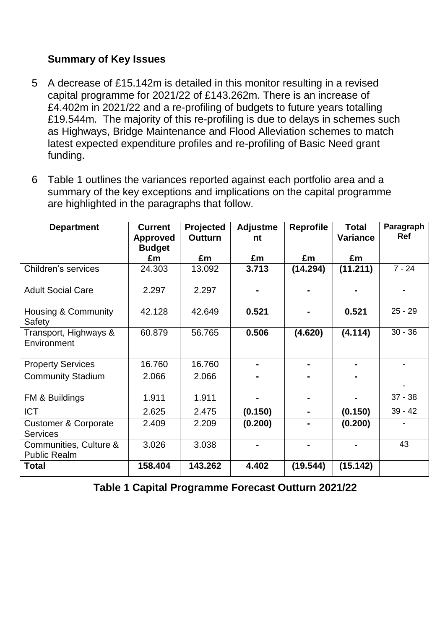## **Summary of Key Issues**

- 5 A decrease of £15.142m is detailed in this monitor resulting in a revised capital programme for 2021/22 of £143.262m. There is an increase of £4.402m in 2021/22 and a re-profiling of budgets to future years totalling £19.544m. The majority of this re-profiling is due to delays in schemes such as Highways, Bridge Maintenance and Flood Alleviation schemes to match latest expected expenditure profiles and re-profiling of Basic Need grant funding.
- 6 Table 1 outlines the variances reported against each portfolio area and a summary of the key exceptions and implications on the capital programme are highlighted in the paragraphs that follow.

| <b>Department</b>                                  | <b>Current</b><br><b>Approved</b><br><b>Budget</b> | Projected<br><b>Outturn</b> | <b>Adjustme</b><br>nt | <b>Reprofile</b> | <b>Total</b><br><b>Variance</b> | Paragraph<br><b>Ref</b>  |
|----------------------------------------------------|----------------------------------------------------|-----------------------------|-----------------------|------------------|---------------------------------|--------------------------|
|                                                    | £m                                                 | £m                          | £m                    | £m               | £m                              |                          |
| Children's services                                | 24.303                                             | 13.092                      | 3.713                 | (14.294)         | (11.211)                        | $7 - 24$                 |
| <b>Adult Social Care</b>                           | 2.297                                              | 2.297                       | $\blacksquare$        | $\blacksquare$   | $\blacksquare$                  | $\overline{\phantom{a}}$ |
| <b>Housing &amp; Community</b><br>Safety           | 42.128                                             | 42.649                      | 0.521                 |                  | 0.521                           | $25 - 29$                |
| Transport, Highways &<br>Environment               | 60.879                                             | 56.765                      | 0.506                 | (4.620)          | (4.114)                         | $30 - 36$                |
| <b>Property Services</b>                           | 16.760                                             | 16.760                      | ۰                     | $\blacksquare$   | ٠                               | $\overline{\phantom{a}}$ |
| <b>Community Stadium</b>                           | 2.066                                              | 2.066                       |                       |                  |                                 |                          |
| FM & Buildings                                     | 1.911                                              | 1.911                       |                       |                  |                                 | $37 - 38$                |
| <b>ICT</b>                                         | 2.625                                              | 2.475                       | (0.150)               | $\blacksquare$   | (0.150)                         | $39 - 42$                |
| <b>Customer &amp; Corporate</b><br><b>Services</b> | 2.409                                              | 2.209                       | (0.200)               |                  | (0.200)                         |                          |
| Communities, Culture &<br><b>Public Realm</b>      | 3.026                                              | 3.038                       |                       |                  |                                 | 43                       |
| <b>Total</b>                                       | 158.404                                            | 143.262                     | 4.402                 | (19.544)         | (15.142)                        |                          |

**Table 1 Capital Programme Forecast Outturn 2021/22**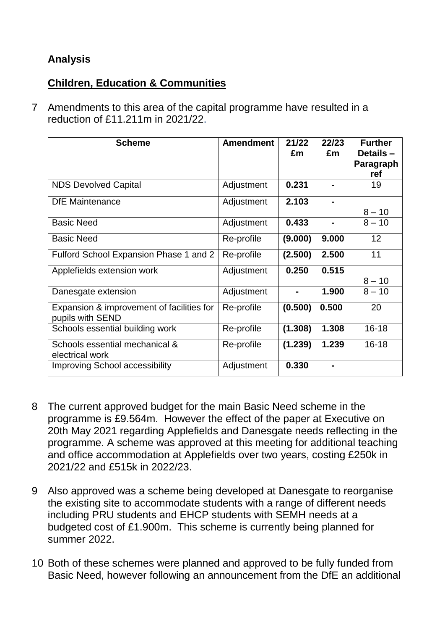## **Analysis**

## **Children, Education & Communities**

7 Amendments to this area of the capital programme have resulted in a reduction of £11.211m in 2021/22.

| <b>Scheme</b>                                                 | <b>Amendment</b> | 21/22<br>£m    | 22/23<br>£m | <b>Further</b><br>Details-<br>Paragraph<br>ref |
|---------------------------------------------------------------|------------------|----------------|-------------|------------------------------------------------|
| <b>NDS Devolved Capital</b>                                   | Adjustment       | 0.231          |             | 19                                             |
| <b>DfE</b> Maintenance                                        | Adjustment       | 2.103          |             | $8 - 10$                                       |
| <b>Basic Need</b>                                             | Adjustment       | 0.433          |             | $8 - 10$                                       |
| <b>Basic Need</b>                                             | Re-profile       | (9.000)        | 9.000       | 12                                             |
| Fulford School Expansion Phase 1 and 2                        | Re-profile       | (2.500)        | 2.500       | 11                                             |
| Applefields extension work                                    | Adjustment       | 0.250          | 0.515       | $8 - 10$                                       |
| Danesgate extension                                           | Adjustment       | $\blacksquare$ | 1.900       | $8 - 10$                                       |
| Expansion & improvement of facilities for<br>pupils with SEND | Re-profile       | (0.500)        | 0.500       | 20                                             |
| Schools essential building work                               | Re-profile       | (1.308)        | 1.308       | $16 - 18$                                      |
| Schools essential mechanical &<br>electrical work             | Re-profile       | (1.239)        | 1.239       | $16 - 18$                                      |
| <b>Improving School accessibility</b>                         | Adjustment       | 0.330          |             |                                                |

- 8 The current approved budget for the main Basic Need scheme in the programme is £9.564m. However the effect of the paper at Executive on 20th May 2021 regarding Applefields and Danesgate needs reflecting in the programme. A scheme was approved at this meeting for additional teaching and office accommodation at Applefields over two years, costing £250k in 2021/22 and £515k in 2022/23.
- 9 Also approved was a scheme being developed at Danesgate to reorganise the existing site to accommodate students with a range of different needs including PRU students and EHCP students with SEMH needs at a budgeted cost of £1.900m. This scheme is currently being planned for summer 2022.
- 10 Both of these schemes were planned and approved to be fully funded from Basic Need, however following an announcement from the DfE an additional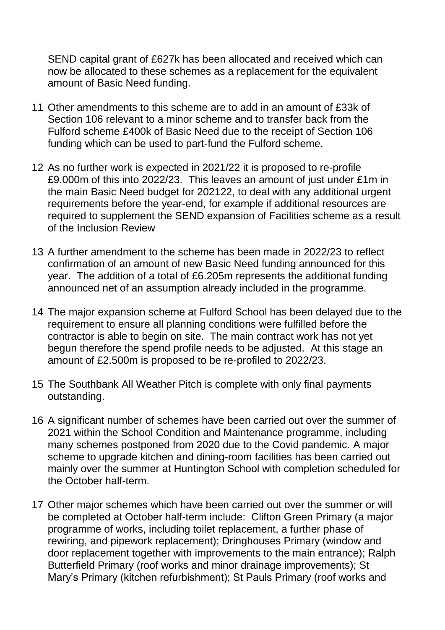SEND capital grant of £627k has been allocated and received which can now be allocated to these schemes as a replacement for the equivalent amount of Basic Need funding.

- 11 Other amendments to this scheme are to add in an amount of £33k of Section 106 relevant to a minor scheme and to transfer back from the Fulford scheme £400k of Basic Need due to the receipt of Section 106 funding which can be used to part-fund the Fulford scheme.
- 12 As no further work is expected in 2021/22 it is proposed to re-profile £9.000m of this into 2022/23. This leaves an amount of just under £1m in the main Basic Need budget for 202122, to deal with any additional urgent requirements before the year-end, for example if additional resources are required to supplement the SEND expansion of Facilities scheme as a result of the Inclusion Review
- 13 A further amendment to the scheme has been made in 2022/23 to reflect confirmation of an amount of new Basic Need funding announced for this year. The addition of a total of £6.205m represents the additional funding announced net of an assumption already included in the programme.
- 14 The major expansion scheme at Fulford School has been delayed due to the requirement to ensure all planning conditions were fulfilled before the contractor is able to begin on site. The main contract work has not yet begun therefore the spend profile needs to be adjusted. At this stage an amount of £2.500m is proposed to be re-profiled to 2022/23.
- 15 The Southbank All Weather Pitch is complete with only final payments outstanding.
- 16 A significant number of schemes have been carried out over the summer of 2021 within the School Condition and Maintenance programme, including many schemes postponed from 2020 due to the Covid pandemic. A major scheme to upgrade kitchen and dining-room facilities has been carried out mainly over the summer at Huntington School with completion scheduled for the October half-term.
- 17 Other major schemes which have been carried out over the summer or will be completed at October half-term include: Clifton Green Primary (a major programme of works, including toilet replacement, a further phase of rewiring, and pipework replacement); Dringhouses Primary (window and door replacement together with improvements to the main entrance); Ralph Butterfield Primary (roof works and minor drainage improvements); St Mary's Primary (kitchen refurbishment); St Pauls Primary (roof works and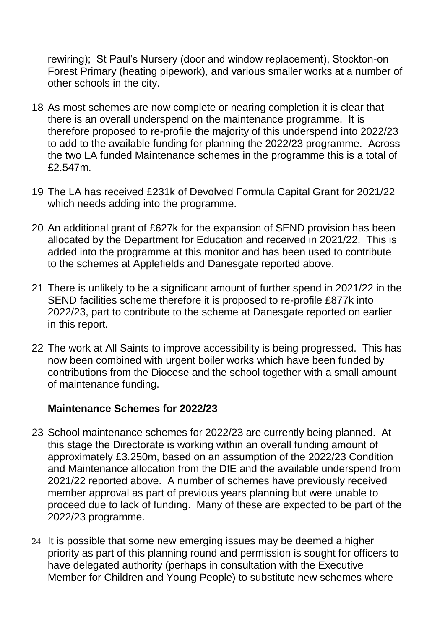rewiring); St Paul's Nursery (door and window replacement), Stockton-on Forest Primary (heating pipework), and various smaller works at a number of other schools in the city.

- 18 As most schemes are now complete or nearing completion it is clear that there is an overall underspend on the maintenance programme. It is therefore proposed to re-profile the majority of this underspend into 2022/23 to add to the available funding for planning the 2022/23 programme. Across the two LA funded Maintenance schemes in the programme this is a total of £2.547m.
- 19 The LA has received £231k of Devolved Formula Capital Grant for 2021/22 which needs adding into the programme.
- 20 An additional grant of £627k for the expansion of SEND provision has been allocated by the Department for Education and received in 2021/22. This is added into the programme at this monitor and has been used to contribute to the schemes at Applefields and Danesgate reported above.
- 21 There is unlikely to be a significant amount of further spend in 2021/22 in the SEND facilities scheme therefore it is proposed to re-profile £877k into 2022/23, part to contribute to the scheme at Danesgate reported on earlier in this report.
- 22 The work at All Saints to improve accessibility is being progressed. This has now been combined with urgent boiler works which have been funded by contributions from the Diocese and the school together with a small amount of maintenance funding.

#### **Maintenance Schemes for 2022/23**

- 23 School maintenance schemes for 2022/23 are currently being planned. At this stage the Directorate is working within an overall funding amount of approximately £3.250m, based on an assumption of the 2022/23 Condition and Maintenance allocation from the DfE and the available underspend from 2021/22 reported above. A number of schemes have previously received member approval as part of previous years planning but were unable to proceed due to lack of funding. Many of these are expected to be part of the 2022/23 programme.
- 24 It is possible that some new emerging issues may be deemed a higher priority as part of this planning round and permission is sought for officers to have delegated authority (perhaps in consultation with the Executive Member for Children and Young People) to substitute new schemes where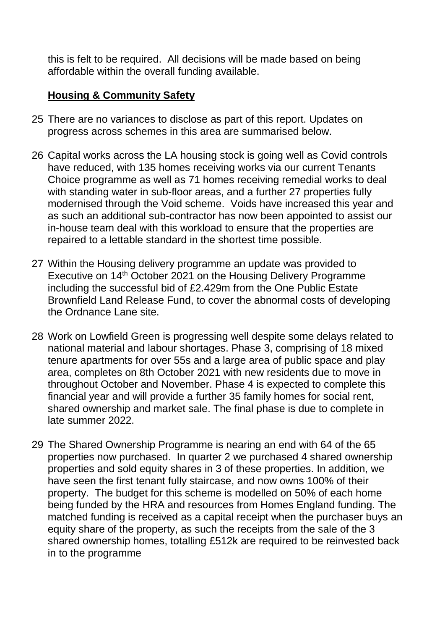this is felt to be required. All decisions will be made based on being affordable within the overall funding available.

### **Housing & Community Safety**

- 25 There are no variances to disclose as part of this report. Updates on progress across schemes in this area are summarised below.
- 26 Capital works across the LA housing stock is going well as Covid controls have reduced, with 135 homes receiving works via our current Tenants Choice programme as well as 71 homes receiving remedial works to deal with standing water in sub-floor areas, and a further 27 properties fully modernised through the Void scheme. Voids have increased this year and as such an additional sub-contractor has now been appointed to assist our in-house team deal with this workload to ensure that the properties are repaired to a lettable standard in the shortest time possible.
- 27 Within the Housing delivery programme an update was provided to Executive on 14th October 2021 on the Housing Delivery Programme including the successful bid of £2.429m from the One Public Estate Brownfield Land Release Fund, to cover the abnormal costs of developing the Ordnance Lane site.
- 28 Work on Lowfield Green is progressing well despite some delays related to national material and labour shortages. Phase 3, comprising of 18 mixed tenure apartments for over 55s and a large area of public space and play area, completes on 8th October 2021 with new residents due to move in throughout October and November. Phase 4 is expected to complete this financial year and will provide a further 35 family homes for social rent, shared ownership and market sale. The final phase is due to complete in late summer 2022.
- 29 The Shared Ownership Programme is nearing an end with 64 of the 65 properties now purchased. In quarter 2 we purchased 4 shared ownership properties and sold equity shares in 3 of these properties. In addition, we have seen the first tenant fully staircase, and now owns 100% of their property. The budget for this scheme is modelled on 50% of each home being funded by the HRA and resources from Homes England funding. The matched funding is received as a capital receipt when the purchaser buys an equity share of the property, as such the receipts from the sale of the 3 shared ownership homes, totalling £512k are required to be reinvested back in to the programme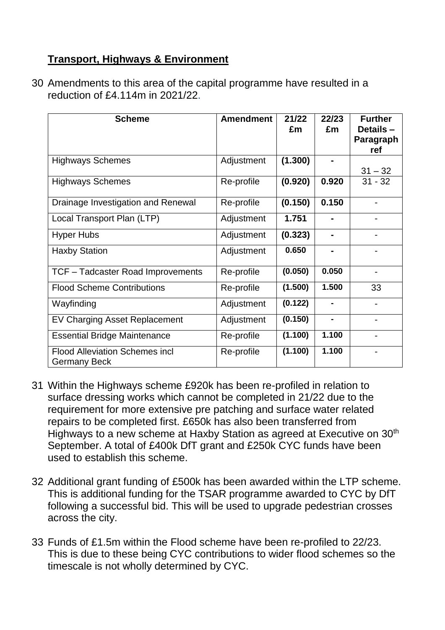## **Transport, Highways & Environment**

30 Amendments to this area of the capital programme have resulted in a reduction of £4.114m in 2021/22.

| <b>Scheme</b>                                                | <b>Amendment</b> | 21/22<br>£m | 22/23<br>£m    | <b>Further</b><br>Details-<br>Paragraph<br>ref |
|--------------------------------------------------------------|------------------|-------------|----------------|------------------------------------------------|
| <b>Highways Schemes</b>                                      | Adjustment       | (1.300)     |                | $31 - 32$                                      |
| <b>Highways Schemes</b>                                      | Re-profile       | (0.920)     | 0.920          | $31 - 32$                                      |
| Drainage Investigation and Renewal                           | Re-profile       | (0.150)     | 0.150          |                                                |
| Local Transport Plan (LTP)                                   | Adjustment       | 1.751       |                |                                                |
| <b>Hyper Hubs</b>                                            | Adjustment       | (0.323)     |                |                                                |
| <b>Haxby Station</b>                                         | Adjustment       | 0.650       |                |                                                |
| TCF - Tadcaster Road Improvements                            | Re-profile       | (0.050)     | 0.050          |                                                |
| <b>Flood Scheme Contributions</b>                            | Re-profile       | (1.500)     | 1.500          | 33                                             |
| Wayfinding                                                   | Adjustment       | (0.122)     |                |                                                |
| EV Charging Asset Replacement                                | Adjustment       | (0.150)     | $\blacksquare$ |                                                |
| <b>Essential Bridge Maintenance</b>                          | Re-profile       | (1.100)     | 1.100          |                                                |
| <b>Flood Alleviation Schemes incl</b><br><b>Germany Beck</b> | Re-profile       | (1.100)     | 1.100          |                                                |

- 31 Within the Highways scheme £920k has been re-profiled in relation to surface dressing works which cannot be completed in 21/22 due to the requirement for more extensive pre patching and surface water related repairs to be completed first. £650k has also been transferred from Highways to a new scheme at Haxby Station as agreed at Executive on 30<sup>th</sup> September. A total of £400k DfT grant and £250k CYC funds have been used to establish this scheme.
- 32 Additional grant funding of £500k has been awarded within the LTP scheme. This is additional funding for the TSAR programme awarded to CYC by DfT following a successful bid. This will be used to upgrade pedestrian crosses across the city.
- 33 Funds of £1.5m within the Flood scheme have been re-profiled to 22/23. This is due to these being CYC contributions to wider flood schemes so the timescale is not wholly determined by CYC.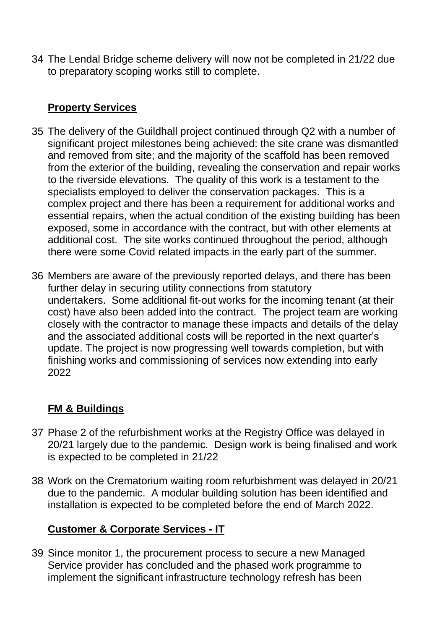34 The Lendal Bridge scheme delivery will now not be completed in 21/22 due to preparatory scoping works still to complete.

# **Property Services**

- 35 The delivery of the Guildhall project continued through Q2 with a number of significant project milestones being achieved: the site crane was dismantled and removed from site; and the majority of the scaffold has been removed from the exterior of the building, revealing the conservation and repair works to the riverside elevations. The quality of this work is a testament to the specialists employed to deliver the conservation packages. This is a complex project and there has been a requirement for additional works and essential repairs, when the actual condition of the existing building has been exposed, some in accordance with the contract, but with other elements at additional cost. The site works continued throughout the period, although there were some Covid related impacts in the early part of the summer.
- 36 Members are aware of the previously reported delays, and there has been further delay in securing utility connections from statutory undertakers. Some additional fit-out works for the incoming tenant (at their cost) have also been added into the contract. The project team are working closely with the contractor to manage these impacts and details of the delay and the associated additional costs will be reported in the next quarter's update. The project is now progressing well towards completion, but with finishing works and commissioning of services now extending into early 2022

# **FM & Buildings**

- 37 Phase 2 of the refurbishment works at the Registry Office was delayed in 20/21 largely due to the pandemic. Design work is being finalised and work is expected to be completed in 21/22
- 38 Work on the Crematorium waiting room refurbishment was delayed in 20/21 due to the pandemic. A modular building solution has been identified and installation is expected to be completed before the end of March 2022.

# **Customer & Corporate Services - IT**

39 Since monitor 1, the procurement process to secure a new Managed Service provider has concluded and the phased work programme to implement the significant infrastructure technology refresh has been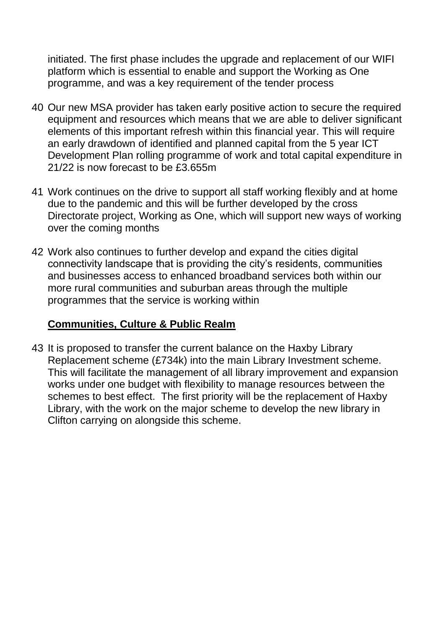initiated. The first phase includes the upgrade and replacement of our WIFI platform which is essential to enable and support the Working as One programme, and was a key requirement of the tender process

- 40 Our new MSA provider has taken early positive action to secure the required equipment and resources which means that we are able to deliver significant elements of this important refresh within this financial year. This will require an early drawdown of identified and planned capital from the 5 year ICT Development Plan rolling programme of work and total capital expenditure in 21/22 is now forecast to be £3.655m
- 41 Work continues on the drive to support all staff working flexibly and at home due to the pandemic and this will be further developed by the cross Directorate project, Working as One, which will support new ways of working over the coming months
- 42 Work also continues to further develop and expand the cities digital connectivity landscape that is providing the city's residents, communities and businesses access to enhanced broadband services both within our more rural communities and suburban areas through the multiple programmes that the service is working within

## **Communities, Culture & Public Realm**

43 It is proposed to transfer the current balance on the Haxby Library Replacement scheme (£734k) into the main Library Investment scheme. This will facilitate the management of all library improvement and expansion works under one budget with flexibility to manage resources between the schemes to best effect. The first priority will be the replacement of Haxby Library, with the work on the major scheme to develop the new library in Clifton carrying on alongside this scheme.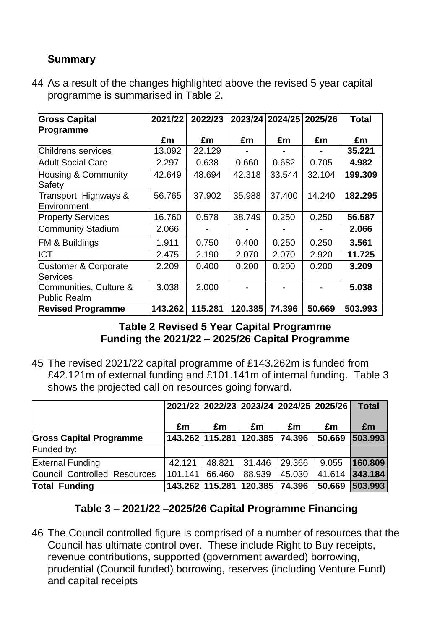## **Summary**

44 As a result of the changes highlighted above the revised 5 year capital programme is summarised in Table 2.

| <b>Gross Capital</b>                               | 2021/22 | 2022/23 |         | 2023/24 2024/25 | 2025/26 | <b>Total</b> |
|----------------------------------------------------|---------|---------|---------|-----------------|---------|--------------|
| Programme                                          |         |         |         |                 |         |              |
|                                                    | £m      | £m      | £m      | £m              | £m      | £m           |
| Childrens services                                 | 13.092  | 22.129  |         |                 |         | 35.221       |
| <b>Adult Social Care</b>                           | 2.297   | 0.638   | 0.660   | 0.682           | 0.705   | 4.982        |
| <b>Housing &amp; Community</b><br>Safety           | 42.649  | 48.694  | 42.318  | 33.544          | 32.104  | 199.309      |
| Transport, Highways &<br>Environment               | 56.765  | 37.902  | 35.988  | 37.400          | 14.240  | 182.295      |
| <b>Property Services</b>                           | 16.760  | 0.578   | 38.749  | 0.250           | 0.250   | 56.587       |
| Community Stadium                                  | 2.066   |         |         |                 |         | 2.066        |
| <b>FM &amp; Buildings</b>                          | 1.911   | 0.750   | 0.400   | 0.250           | 0.250   | 3.561        |
| <b>ICT</b>                                         | 2.475   | 2.190   | 2.070   | 2.070           | 2.920   | 11.725       |
| <b>Customer &amp; Corporate</b><br><b>Services</b> | 2.209   | 0.400   | 0.200   | 0.200           | 0.200   | 3.209        |
| Communities, Culture &<br><b>Public Realm</b>      | 3.038   | 2.000   |         |                 |         | 5.038        |
| <b>Revised Programme</b>                           | 143.262 | 115.281 | 120.385 | 74.396          | 50.669  | 503.993      |

#### **Table 2 Revised 5 Year Capital Programme Funding the 2021/22 – 2025/26 Capital Programme**

45 The revised 2021/22 capital programme of £143.262m is funded from £42.121m of external funding and £101.141m of internal funding. Table 3 shows the projected call on resources going forward.

|                                     |         |        | 2021/22 2022/23 2023/24 2024/25 2025/26 |        |        | <b>Total</b> |
|-------------------------------------|---------|--------|-----------------------------------------|--------|--------|--------------|
|                                     | £m      | £m     | £m                                      | £m     | £m     | Em           |
| <b>Gross Capital Programme</b>      |         |        | 143.262 115.281 120.385                 | 74.396 | 50.669 | 503.993      |
| Funded by:                          |         |        |                                         |        |        |              |
| <b>External Funding</b>             | 42.121  | 48.821 | 31.446                                  | 29.366 | 9.055  | 160.809      |
| <b>Council Controlled Resources</b> | 101.141 | 66.460 | 88.939                                  | 45.030 | 41.614 | 343.184      |
| <b>Total Funding</b>                |         |        | 143.262 115.281 120.385                 | 74.396 | 50.669 | 503.993      |

## **Table 3 – 2021/22 –2025/26 Capital Programme Financing**

46 The Council controlled figure is comprised of a number of resources that the Council has ultimate control over. These include Right to Buy receipts, revenue contributions, supported (government awarded) borrowing, prudential (Council funded) borrowing, reserves (including Venture Fund) and capital receipts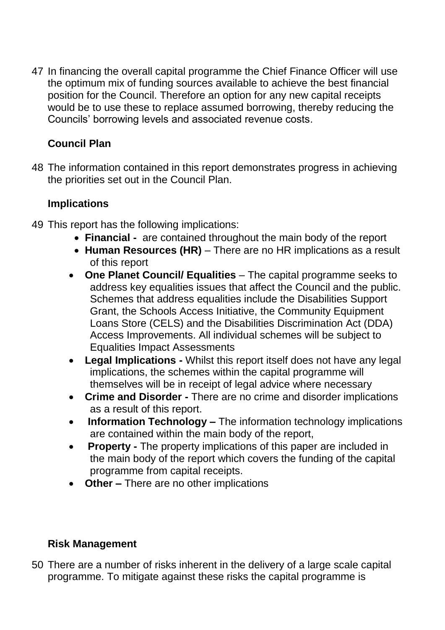47 In financing the overall capital programme the Chief Finance Officer will use the optimum mix of funding sources available to achieve the best financial position for the Council. Therefore an option for any new capital receipts would be to use these to replace assumed borrowing, thereby reducing the Councils' borrowing levels and associated revenue costs.

# **Council Plan**

48 The information contained in this report demonstrates progress in achieving the priorities set out in the Council Plan.

## **Implications**

- 49 This report has the following implications:
	- **Financial** are contained throughout the main body of the report
	- **Human Resources (HR)** There are no HR implications as a result of this report
	- **One Planet Council/ Equalities**  The capital programme seeks to address key equalities issues that affect the Council and the public. Schemes that address equalities include the Disabilities Support Grant, the Schools Access Initiative, the Community Equipment Loans Store (CELS) and the Disabilities Discrimination Act (DDA) Access Improvements. All individual schemes will be subject to Equalities Impact Assessments
	- **Legal Implications -** Whilst this report itself does not have any legal implications, the schemes within the capital programme will themselves will be in receipt of legal advice where necessary
	- **Crime and Disorder -** There are no crime and disorder implications as a result of this report.
	- **Information Technology –** The information technology implications are contained within the main body of the report,
	- **Property -** The property implications of this paper are included in the main body of the report which covers the funding of the capital programme from capital receipts.
	- **Other –** There are no other implications

## **Risk Management**

50 There are a number of risks inherent in the delivery of a large scale capital programme. To mitigate against these risks the capital programme is